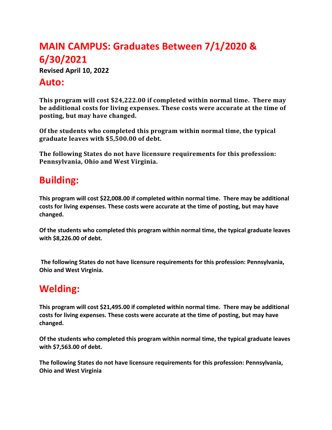# **MAIN CAMPUS: Graduates Between 7/1/2020 & 6/30/2021**

**Revised April 10, 2022**

#### **Auto:**

**This program will cost \$24,222.00 if completed within normal time. There may** be additional costs for living expenses. These costs were accurate at the time of posting, but may have changed.

Of the students who completed this program within normal time, the typical graduate leaves with \$5,500.00 of debt.

The following States do not have licensure requirements for this profession: Pennsylvania, Ohio and West Virginia.

## **Building:**

**This program will cost \$22,008.00 if completed within normal time. There may be additional costs for living expenses. These costs were accurate at the time of posting, but may have changed.**

**Of the students who completed this program within normal time, the typical graduate leaves with \$8,226.00 of debt.**

**The following States do not have licensure requirements for this profession: Pennsylvania, Ohio and West Virginia.**

### **Welding:**

**This program will cost \$21,495.00 if completed within normal time. There may be additional costs for living expenses. These costs were accurate at the time of posting, but may have changed.**

**Of the students who completed this program within normal time, the typical graduate leaves with \$7,563.00 of debt.**

**The following States do not have licensure requirements for this profession: Pennsylvania, Ohio and West Virginia**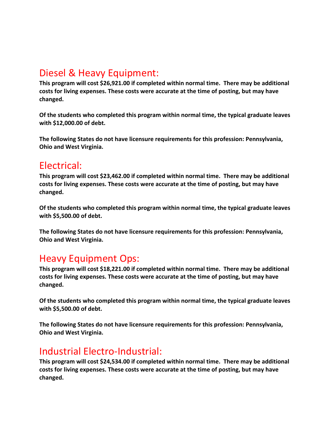## Diesel & Heavy Equipment:

**This program will cost \$26,921.00 if completed within normal time. There may be additional costs for living expenses. These costs were accurate at the time of posting, but may have changed.**

**Of the students who completed this program within normal time, the typical graduate leaves with \$12,000.00 of debt.**

**The following States do not have licensure requirements for this profession: Pennsylvania, Ohio and West Virginia.**

#### Electrical:

**This program will cost \$23,462.00 if completed within normal time. There may be additional costs for living expenses. These costs were accurate at the time of posting, but may have changed.**

**Of the students who completed this program within normal time, the typical graduate leaves with \$5,500.00 of debt.**

**The following States do not have licensure requirements for this profession: Pennsylvania, Ohio and West Virginia.**

#### Heavy Equipment Ops:

**This program will cost \$18,221.00 if completed within normal time. There may be additional costs for living expenses. These costs were accurate at the time of posting, but may have changed.**

**Of the students who completed this program within normal time, the typical graduate leaves with \$5,500.00 of debt.**

**The following States do not have licensure requirements for this profession: Pennsylvania, Ohio and West Virginia.**

### Industrial Electro-Industrial:

**This program will cost \$24,534.00 if completed within normal time. There may be additional costs for living expenses. These costs were accurate at the time of posting, but may have changed.**